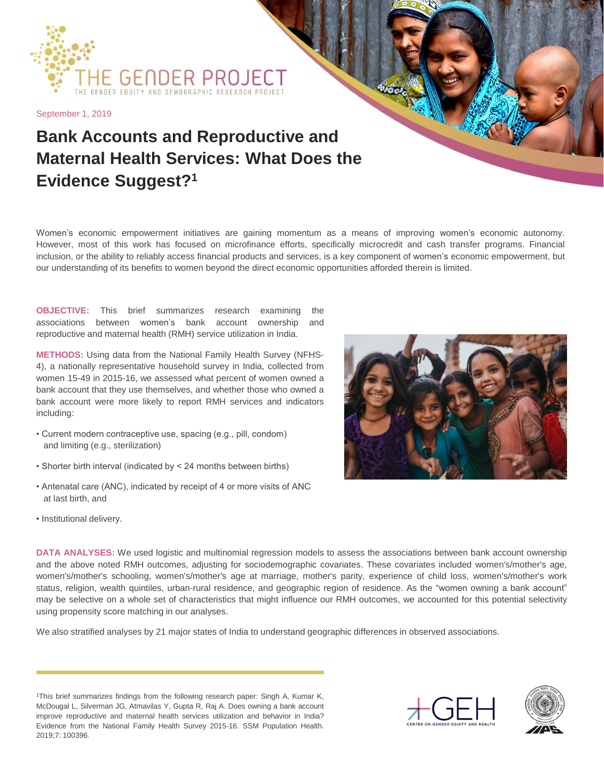

September 1, 2019

## **Bank Accounts and Reproductive and Maternal Health Services: What Does the Evidence Suggest?<sup>1</sup>**

Women's economic empowerment initiatives are gaining momentum as a means of improving women's economic autonomy. However, most of this work has focused on microfinance efforts, specifically microcredit and cash transfer programs. Financial inclusion, or the ability to reliably access financial products and services, is a key component of women's economic empowerment, but our understanding of its benefits to women beyond the direct economic opportunities afforded therein is limited.

**OBJECTIVE:** This brief summarizes research examining the associations between women's bank account ownership and reproductive and maternal health (RMH) service utilization in India.

**METHODS:** Using data from the National Family Health Survey (NFHS-4), a nationally representative household survey in India, collected from women 15-49 in 2015-16, we assessed what percent of women owned a bank account that they use themselves, and whether those who owned a bank account were more likely to report RMH services and indicators including:

- Current modern contraceptive use, spacing (e.g., pill, condom) and limiting (e.g., sterilization)
- Shorter birth interval (indicated by < 24 months between births)
- Antenatal care (ANC), indicated by receipt of 4 or more visits of ANC at last birth, and
- Institutional delivery.



**DATA ANALYSES:** We used logistic and multinomial regression models to assess the associations between bank account ownership and the above noted RMH outcomes, adjusting for sociodemographic covariates. These covariates included women's/mother's age, women's/mother's schooling, women's/mother's age at marriage, mother's parity, experience of child loss, women's/mother's work status, religion, wealth quintiles, urban-rural residence, and geographic region of residence. As the "women owning a bank account" may be selective on a whole set of characteristics that might influence our RMH outcomes, we accounted for this potential selectivity using propensity score matching in our analyses.

We also stratified analyses by 21 major states of India to understand geographic differences in observed associations.

<sup>1</sup>This brief summarizes findings from the following research paper: Singh A, Kumar K, McDougal L, Silverman JG, Atmavilas Y, Gupta R, Raj A. Does owning a bank account improve reproductive and maternal health services utilization and behavior in India? Evidence from the National Family Health Survey 2015-16. SSM Population Health. 2019;7: 100396.